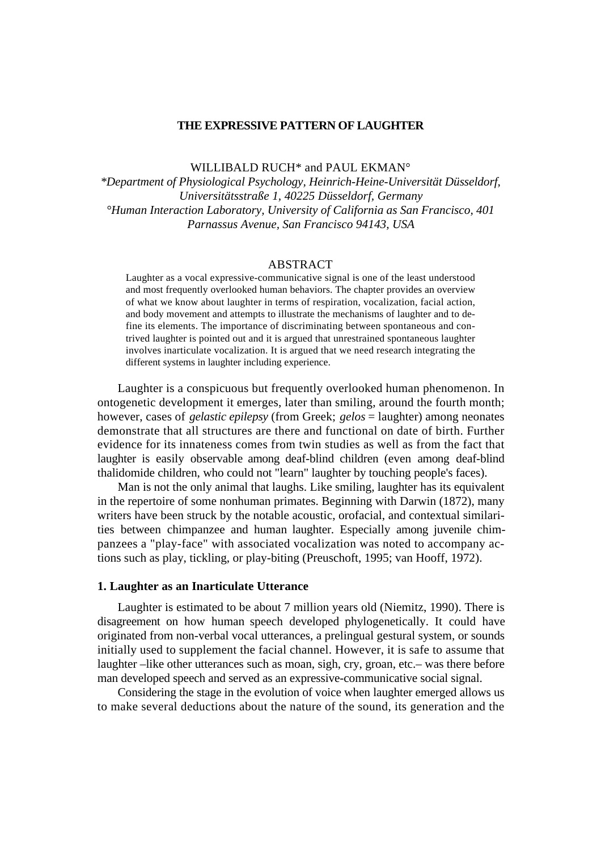## **THE EXPRESSIVE PATTERN OF LAUGHTER**

WILLIBALD RUCH\* and PAUL EKMAN°

*\*Department of Physiological Psychology, Heinrich-Heine-Universität Düsseldorf, Universitätsstraße 1, 40225 Düsseldorf, Germany °Human Interaction Laboratory, University of California as San Francisco, 401 Parnassus Avenue, San Francisco 94143, USA*

# ABSTRACT

Laughter as a vocal expressive-communicative signal is one of the least understood and most frequently overlooked human behaviors. The chapter provides an overview of what we know about laughter in terms of respiration, vocalization, facial action, and body movement and attempts to illustrate the mechanisms of laughter and to define its elements. The importance of discriminating between spontaneous and contrived laughter is pointed out and it is argued that unrestrained spontaneous laughter involves inarticulate vocalization. It is argued that we need research integrating the different systems in laughter including experience.

Laughter is a conspicuous but frequently overlooked human phenomenon. In ontogenetic development it emerges, later than smiling, around the fourth month; however, cases of *gelastic epilepsy* (from Greek; *gelos* = laughter) among neonates demonstrate that all structures are there and functional on date of birth. Further evidence for its innateness comes from twin studies as well as from the fact that laughter is easily observable among deaf-blind children (even among deaf-blind thalidomide children, who could not "learn" laughter by touching people's faces).

Man is not the only animal that laughs. Like smiling, laughter has its equivalent in the repertoire of some nonhuman primates. Beginning with Darwin (1872), many writers have been struck by the notable acoustic, orofacial, and contextual similarities between chimpanzee and human laughter. Especially among juvenile chimpanzees a "play-face" with associated vocalization was noted to accompany actions such as play, tickling, or play-biting (Preuschoft, 1995; van Hooff, 1972).

# **1. Laughter as an Inarticulate Utterance**

Laughter is estimated to be about 7 million years old (Niemitz, 1990). There is disagreement on how human speech developed phylogenetically. It could have originated from non-verbal vocal utterances, a prelingual gestural system, or sounds initially used to supplement the facial channel. However, it is safe to assume that laughter –like other utterances such as moan, sigh, cry, groan, etc.– was there before man developed speech and served as an expressive-communicative social signal.

Considering the stage in the evolution of voice when laughter emerged allows us to make several deductions about the nature of the sound, its generation and the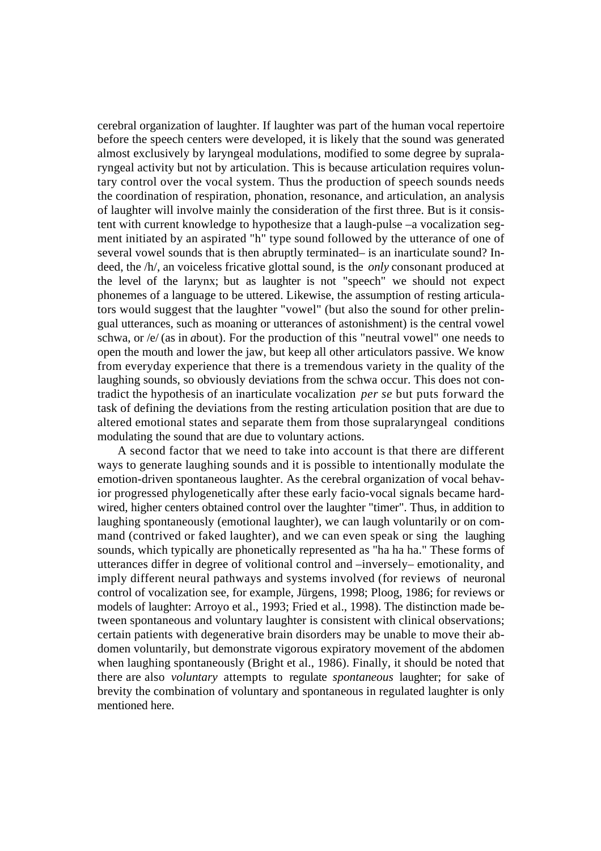cerebral organization of laughter. If laughter was part of the human vocal repertoire before the speech centers were developed, it is likely that the sound was generated almost exclusively by laryngeal modulations, modified to some degree by supralaryngeal activity but not by articulation. This is because articulation requires voluntary control over the vocal system. Thus the production of speech sounds needs the coordination of respiration, phonation, resonance, and articulation, an analysis of laughter will involve mainly the consideration of the first three. But is it consistent with current knowledge to hypothesize that a laugh-pulse –a vocalization segment initiated by an aspirated "h" type sound followed by the utterance of one of several vowel sounds that is then abruptly terminated– is an inarticulate sound? Indeed, the /h/, an voiceless fricative glottal sound, is the *only* consonant produced at the level of the larynx; but as laughter is not "speech" we should not expect phonemes of a language to be uttered. Likewise, the assumption of resting articulators would suggest that the laughter "vowel" (but also the sound for other prelingual utterances, such as moaning or utterances of astonishment) is the central vowel schwa, or /e/ (as in *a*bout). For the production of this "neutral vowel" one needs to open the mouth and lower the jaw, but keep all other articulators passive. We know from everyday experience that there is a tremendous variety in the quality of the laughing sounds, so obviously deviations from the schwa occur. This does not contradict the hypothesis of an inarticulate vocalization *per se* but puts forward the task of defining the deviations from the resting articulation position that are due to altered emotional states and separate them from those supralaryngeal conditions modulating the sound that are due to voluntary actions.

A second factor that we need to take into account is that there are different ways to generate laughing sounds and it is possible to intentionally modulate the emotion-driven spontaneous laughter. As the cerebral organization of vocal behavior progressed phylogenetically after these early facio-vocal signals became hardwired, higher centers obtained control over the laughter "timer". Thus, in addition to laughing spontaneously (emotional laughter), we can laugh voluntarily or on command (contrived or faked laughter), and we can even speak or sing the laughing sounds, which typically are phonetically represented as "ha ha ha." These forms of utterances differ in degree of volitional control and –inversely– emotionality, and imply different neural pathways and systems involved (for reviews of neuronal control of vocalization see, for example, Jürgens, 1998; Ploog, 1986; for reviews or models of laughter: Arroyo et al., 1993; Fried et al., 1998). The distinction made between spontaneous and voluntary laughter is consistent with clinical observations; certain patients with degenerative brain disorders may be unable to move their abdomen voluntarily, but demonstrate vigorous expiratory movement of the abdomen when laughing spontaneously (Bright et al., 1986). Finally, it should be noted that there are also *voluntary* attempts to regulate *spontaneous* laughter; for sake of brevity the combination of voluntary and spontaneous in regulated laughter is only mentioned here.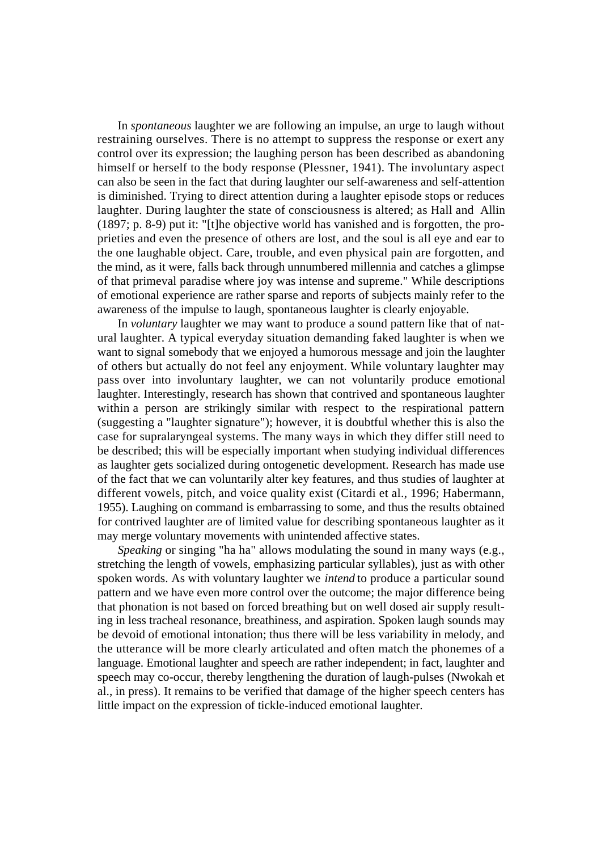In *spontaneous* laughter we are following an impulse, an urge to laugh without restraining ourselves. There is no attempt to suppress the response or exert any control over its expression; the laughing person has been described as abandoning himself or herself to the body response (Plessner, 1941). The involuntary aspect can also be seen in the fact that during laughter our self-awareness and self-attention is diminished. Trying to direct attention during a laughter episode stops or reduces laughter. During laughter the state of consciousness is altered; as Hall and Allin (1897; p. 8-9) put it: "[t]he objective world has vanished and is forgotten, the proprieties and even the presence of others are lost, and the soul is all eye and ear to the one laughable object. Care, trouble, and even physical pain are forgotten, and the mind, as it were, falls back through unnumbered millennia and catches a glimpse of that primeval paradise where joy was intense and supreme." While descriptions of emotional experience are rather sparse and reports of subjects mainly refer to the awareness of the impulse to laugh, spontaneous laughter is clearly enjoyable.

In *voluntary* laughter we may want to produce a sound pattern like that of natural laughter. A typical everyday situation demanding faked laughter is when we want to signal somebody that we enjoyed a humorous message and join the laughter of others but actually do not feel any enjoyment. While voluntary laughter may pass over into involuntary laughter, we can not voluntarily produce emotional laughter. Interestingly, research has shown that contrived and spontaneous laughter within a person are strikingly similar with respect to the respirational pattern (suggesting a "laughter signature"); however, it is doubtful whether this is also the case for supralaryngeal systems. The many ways in which they differ still need to be described; this will be especially important when studying individual differences as laughter gets socialized during ontogenetic development. Research has made use of the fact that we can voluntarily alter key features, and thus studies of laughter at different vowels, pitch, and voice quality exist (Citardi et al., 1996; Habermann, 1955). Laughing on command is embarrassing to some, and thus the results obtained for contrived laughter are of limited value for describing spontaneous laughter as it may merge voluntary movements with unintended affective states.

*Speaking* or singing "ha ha" allows modulating the sound in many ways (e.g., stretching the length of vowels, emphasizing particular syllables), just as with other spoken words. As with voluntary laughter we *intend* to produce a particular sound pattern and we have even more control over the outcome; the major difference being that phonation is not based on forced breathing but on well dosed air supply resulting in less tracheal resonance, breathiness, and aspiration. Spoken laugh sounds may be devoid of emotional intonation; thus there will be less variability in melody, and the utterance will be more clearly articulated and often match the phonemes of a language. Emotional laughter and speech are rather independent; in fact, laughter and speech may co-occur, thereby lengthening the duration of laugh-pulses (Nwokah et al., in press). It remains to be verified that damage of the higher speech centers has little impact on the expression of tickle-induced emotional laughter.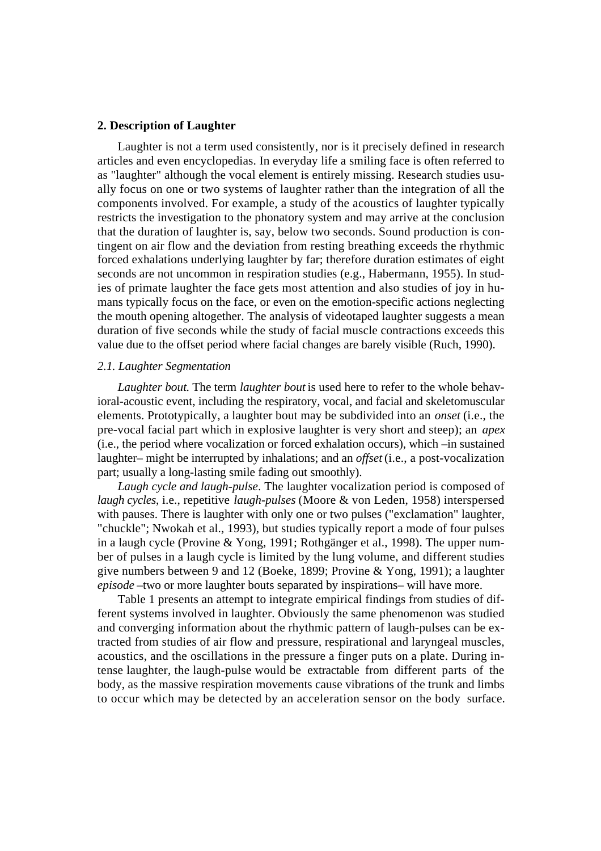#### **2. Description of Laughter**

Laughter is not a term used consistently, nor is it precisely defined in research articles and even encyclopedias. In everyday life a smiling face is often referred to as "laughter" although the vocal element is entirely missing. Research studies usually focus on one or two systems of laughter rather than the integration of all the components involved. For example, a study of the acoustics of laughter typically restricts the investigation to the phonatory system and may arrive at the conclusion that the duration of laughter is, say, below two seconds. Sound production is contingent on air flow and the deviation from resting breathing exceeds the rhythmic forced exhalations underlying laughter by far; therefore duration estimates of eight seconds are not uncommon in respiration studies (e.g., Habermann, 1955). In studies of primate laughter the face gets most attention and also studies of joy in humans typically focus on the face, or even on the emotion-specific actions neglecting the mouth opening altogether. The analysis of videotaped laughter suggests a mean duration of five seconds while the study of facial muscle contractions exceeds this value due to the offset period where facial changes are barely visible (Ruch, 1990).

### *2.1. Laughter Segmentation*

*Laughter bout*. The term *laughter bout* is used here to refer to the whole behavioral-acoustic event, including the respiratory, vocal, and facial and skeletomuscular elements. Prototypically, a laughter bout may be subdivided into an *onset* (i.e., the pre-vocal facial part which in explosive laughter is very short and steep); an *apex* (i.e., the period where vocalization or forced exhalation occurs), which –in sustained laughter– might be interrupted by inhalations; and an *offset* (i.e., a post-vocalization part; usually a long-lasting smile fading out smoothly).

*Laugh cycle and laugh-pulse*. The laughter vocalization period is composed of *laugh cycles*, i.e., repetitive *laugh-pulses* (Moore & von Leden, 1958) interspersed with pauses. There is laughter with only one or two pulses ("exclamation" laughter, "chuckle"; Nwokah et al., 1993), but studies typically report a mode of four pulses in a laugh cycle (Provine & Yong, 1991; Rothgänger et al., 1998). The upper number of pulses in a laugh cycle is limited by the lung volume, and different studies give numbers between 9 and 12 (Boeke, 1899; Provine & Yong, 1991); a laughter *episode* –two or more laughter bouts separated by inspirations– will have more.

Table 1 presents an attempt to integrate empirical findings from studies of different systems involved in laughter. Obviously the same phenomenon was studied and converging information about the rhythmic pattern of laugh-pulses can be extracted from studies of air flow and pressure, respirational and laryngeal muscles, acoustics, and the oscillations in the pressure a finger puts on a plate. During intense laughter, the laugh-pulse would be extractable from different parts of the body, as the massive respiration movements cause vibrations of the trunk and limbs to occur which may be detected by an acceleration sensor on the body surface.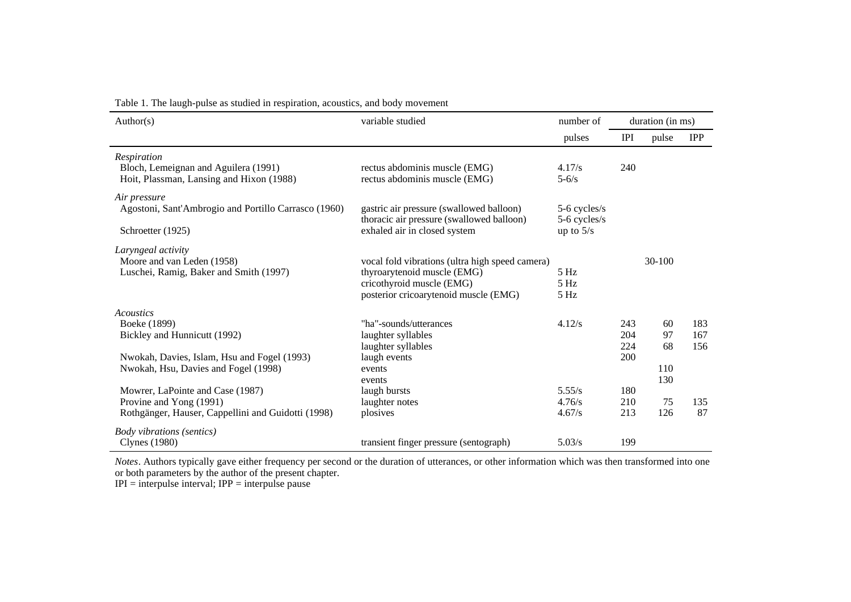| Table 1. The laugh-pulse as studied in respiration, acoustics, and body movement |  |  |  |
|----------------------------------------------------------------------------------|--|--|--|
|                                                                                  |  |  |  |

| Author(s)                                                                                                                                                                                                              | variable studied                                                                                                                                     | number of                                   | duration (in ms)                       |                                    |                          |  |
|------------------------------------------------------------------------------------------------------------------------------------------------------------------------------------------------------------------------|------------------------------------------------------------------------------------------------------------------------------------------------------|---------------------------------------------|----------------------------------------|------------------------------------|--------------------------|--|
|                                                                                                                                                                                                                        |                                                                                                                                                      | pulses                                      | IPI                                    | pulse                              | <b>IPP</b>               |  |
| Respiration<br>Bloch, Lemeignan and Aguilera (1991)<br>Hoit, Plassman, Lansing and Hixon (1988)                                                                                                                        | rectus abdominis muscle (EMG)<br>rectus abdominis muscle (EMG)                                                                                       | 4.17/s<br>$5-6/s$                           | 240                                    |                                    |                          |  |
| Air pressure<br>Agostoni, Sant'Ambrogio and Portillo Carrasco (1960)<br>Schroetter (1925)                                                                                                                              | gastric air pressure (swallowed balloon)<br>thoracic air pressure (swallowed balloon)<br>exhaled air in closed system                                | 5-6 cycles/s<br>5-6 cycles/s<br>up to $5/s$ |                                        |                                    |                          |  |
| Laryngeal activity<br>Moore and van Leden (1958)<br>Luschei, Ramig, Baker and Smith (1997)                                                                                                                             | vocal fold vibrations (ultra high speed camera)<br>thyroarytenoid muscle (EMG)<br>cricothyroid muscle (EMG)<br>posterior cricoarytenoid muscle (EMG) | 5 <sub>Hz</sub><br>5 <sub>Hz</sub><br>5 Hz  |                                        | 30-100                             |                          |  |
| <b>Acoustics</b><br>Boeke (1899)<br>Bickley and Hunnicutt (1992)<br>Nwokah, Davies, Islam, Hsu and Fogel (1993)<br>Nwokah, Hsu, Davies and Fogel (1998)<br>Mowrer, LaPointe and Case (1987)<br>Provine and Yong (1991) | "ha"-sounds/utterances<br>laughter syllables<br>laughter syllables<br>laugh events<br>events<br>events<br>laugh bursts<br>laughter notes             | 4.12/s<br>5.55/s<br>4.76/s                  | 243<br>204<br>224<br>200<br>180<br>210 | 60<br>97<br>68<br>110<br>130<br>75 | 183<br>167<br>156<br>135 |  |
| Rothgänger, Hauser, Cappellini and Guidotti (1998)                                                                                                                                                                     | plosives                                                                                                                                             | 4.67/s                                      | 213                                    | 126                                | 87                       |  |
| <b>Body vibrations (sentics)</b><br><b>Clynes</b> (1980)                                                                                                                                                               | transient finger pressure (sentograph)                                                                                                               | 5.03/s                                      | 199                                    |                                    |                          |  |

*Notes*. Authors typically gave either frequency per second or the duration of utterances, or other information which was then transformed into one or both parameters by the author of the present chapter.

 $IPI =$  interpulse interval;  $IPP =$  interpulse pause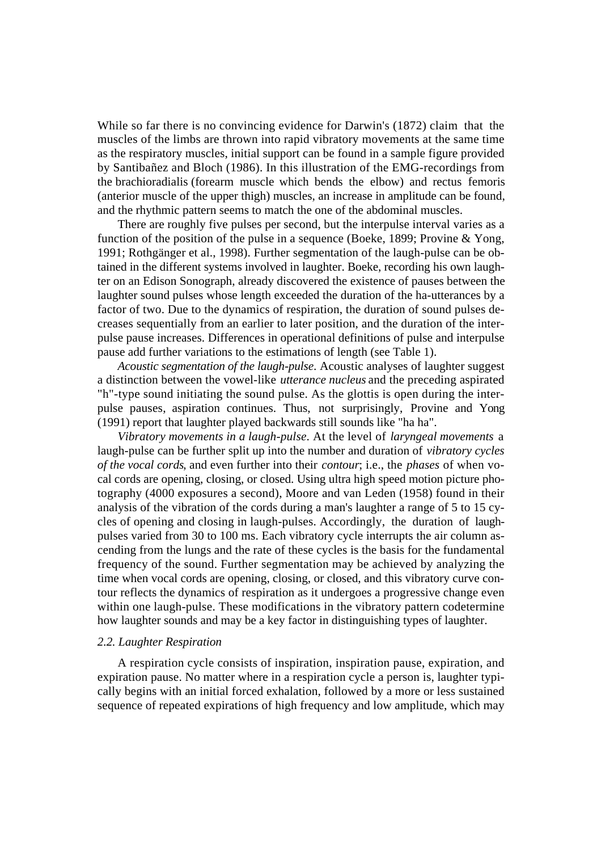While so far there is no convincing evidence for Darwin's (1872) claim that the muscles of the limbs are thrown into rapid vibratory movements at the same time as the respiratory muscles, initial support can be found in a sample figure provided by Santibañez and Bloch (1986). In this illustration of the EMG-recordings from the brachioradialis (forearm muscle which bends the elbow) and rectus femoris (anterior muscle of the upper thigh) muscles, an increase in amplitude can be found, and the rhythmic pattern seems to match the one of the abdominal muscles.

There are roughly five pulses per second, but the interpulse interval varies as a function of the position of the pulse in a sequence (Boeke, 1899; Provine & Yong, 1991; Rothgänger et al., 1998). Further segmentation of the laugh-pulse can be obtained in the different systems involved in laughter. Boeke, recording his own laughter on an Edison Sonograph, already discovered the existence of pauses between the laughter sound pulses whose length exceeded the duration of the ha-utterances by a factor of two. Due to the dynamics of respiration, the duration of sound pulses decreases sequentially from an earlier to later position, and the duration of the interpulse pause increases. Differences in operational definitions of pulse and interpulse pause add further variations to the estimations of length (see Table 1).

*Acoustic segmentation of the laugh-pulse*. Acoustic analyses of laughter suggest a distinction between the vowel-like *utterance nucleus* and the preceding aspirated "h"-type sound initiating the sound pulse. As the glottis is open during the interpulse pauses, aspiration continues. Thus, not surprisingly, Provine and Yong (1991) report that laughter played backwards still sounds like "ha ha".

*Vibratory movements in a laugh-pulse*. At the level of *laryngeal movements* a laugh-pulse can be further split up into the number and duration of *vibratory cycles of the vocal cords*, and even further into their *contour*; i.e., the *phases* of when vocal cords are opening, closing, or closed. Using ultra high speed motion picture photography (4000 exposures a second), Moore and van Leden (1958) found in their analysis of the vibration of the cords during a man's laughter a range of 5 to 15 cycles of opening and closing in laugh-pulses. Accordingly, the duration of laughpulses varied from 30 to 100 ms. Each vibratory cycle interrupts the air column ascending from the lungs and the rate of these cycles is the basis for the fundamental frequency of the sound. Further segmentation may be achieved by analyzing the time when vocal cords are opening, closing, or closed, and this vibratory curve contour reflects the dynamics of respiration as it undergoes a progressive change even within one laugh-pulse. These modifications in the vibratory pattern codetermine how laughter sounds and may be a key factor in distinguishing types of laughter.

## *2.2. Laughter Respiration*

A respiration cycle consists of inspiration, inspiration pause, expiration, and expiration pause. No matter where in a respiration cycle a person is, laughter typically begins with an initial forced exhalation, followed by a more or less sustained sequence of repeated expirations of high frequency and low amplitude, which may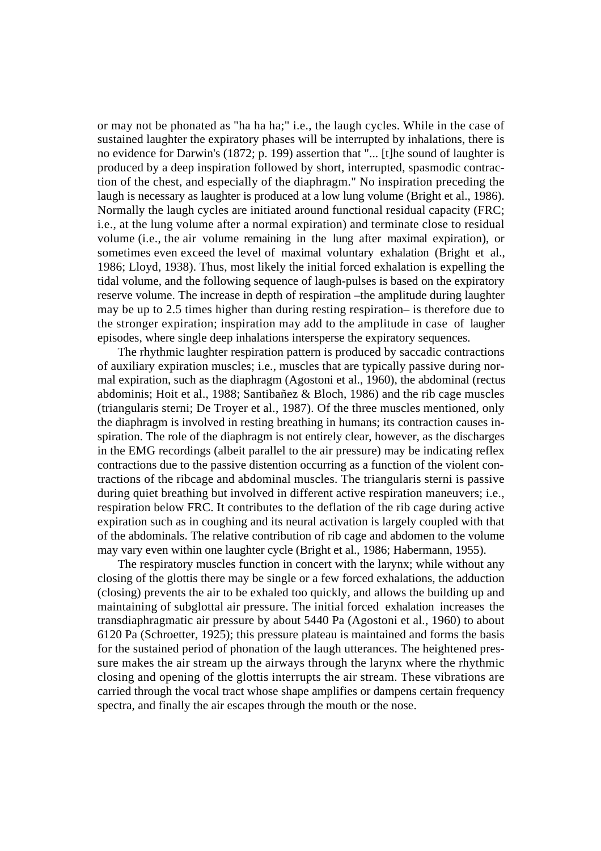or may not be phonated as "ha ha ha;" i.e., the laugh cycles. While in the case of sustained laughter the expiratory phases will be interrupted by inhalations, there is no evidence for Darwin's (1872; p. 199) assertion that "... [t]he sound of laughter is produced by a deep inspiration followed by short, interrupted, spasmodic contraction of the chest, and especially of the diaphragm." No inspiration preceding the laugh is necessary as laughter is produced at a low lung volume (Bright et al., 1986). Normally the laugh cycles are initiated around functional residual capacity (FRC; i.e., at the lung volume after a normal expiration) and terminate close to residual volume (i.e., the air volume remaining in the lung after maximal expiration), or sometimes even exceed the level of maximal voluntary exhalation (Bright et al., 1986; Lloyd, 1938). Thus, most likely the initial forced exhalation is expelling the tidal volume, and the following sequence of laugh-pulses is based on the expiratory reserve volume. The increase in depth of respiration –the amplitude during laughter may be up to 2.5 times higher than during resting respiration– is therefore due to the stronger expiration; inspiration may add to the amplitude in case of laugher episodes, where single deep inhalations intersperse the expiratory sequences.

The rhythmic laughter respiration pattern is produced by saccadic contractions of auxiliary expiration muscles; i.e., muscles that are typically passive during normal expiration, such as the diaphragm (Agostoni et al., 1960), the abdominal (rectus abdominis; Hoit et al., 1988; Santibañez & Bloch, 1986) and the rib cage muscles (triangularis sterni; De Troyer et al., 1987). Of the three muscles mentioned, only the diaphragm is involved in resting breathing in humans; its contraction causes inspiration. The role of the diaphragm is not entirely clear, however, as the discharges in the EMG recordings (albeit parallel to the air pressure) may be indicating reflex contractions due to the passive distention occurring as a function of the violent contractions of the ribcage and abdominal muscles. The triangularis sterni is passive during quiet breathing but involved in different active respiration maneuvers; i.e., respiration below FRC. It contributes to the deflation of the rib cage during active expiration such as in coughing and its neural activation is largely coupled with that of the abdominals. The relative contribution of rib cage and abdomen to the volume may vary even within one laughter cycle (Bright et al., 1986; Habermann, 1955).

The respiratory muscles function in concert with the larynx; while without any closing of the glottis there may be single or a few forced exhalations, the adduction (closing) prevents the air to be exhaled too quickly, and allows the building up and maintaining of subglottal air pressure. The initial forced exhalation increases the transdiaphragmatic air pressure by about 5440 Pa (Agostoni et al., 1960) to about 6120 Pa (Schroetter, 1925); this pressure plateau is maintained and forms the basis for the sustained period of phonation of the laugh utterances. The heightened pressure makes the air stream up the airways through the larynx where the rhythmic closing and opening of the glottis interrupts the air stream. These vibrations are carried through the vocal tract whose shape amplifies or dampens certain frequency spectra, and finally the air escapes through the mouth or the nose.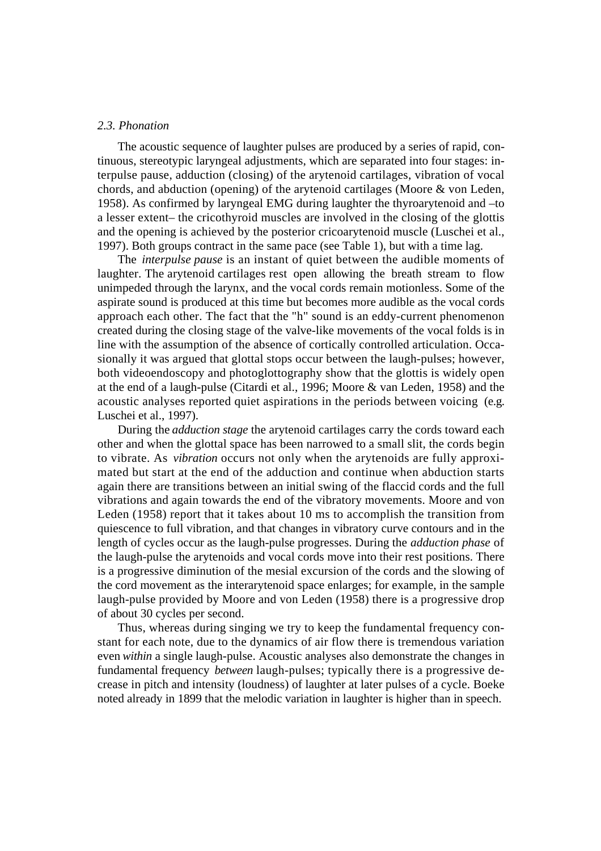### *2.3. Phonation*

The acoustic sequence of laughter pulses are produced by a series of rapid, continuous, stereotypic laryngeal adjustments, which are separated into four stages: interpulse pause, adduction (closing) of the arytenoid cartilages, vibration of vocal chords, and abduction (opening) of the arytenoid cartilages (Moore & von Leden, 1958). As confirmed by laryngeal EMG during laughter the thyroarytenoid and –to a lesser extent– the cricothyroid muscles are involved in the closing of the glottis and the opening is achieved by the posterior cricoarytenoid muscle (Luschei et al., 1997). Both groups contract in the same pace (see Table 1), but with a time lag.

The *interpulse pause* is an instant of quiet between the audible moments of laughter. The arytenoid cartilages rest open allowing the breath stream to flow unimpeded through the larynx, and the vocal cords remain motionless. Some of the aspirate sound is produced at this time but becomes more audible as the vocal cords approach each other. The fact that the "h" sound is an eddy-current phenomenon created during the closing stage of the valve-like movements of the vocal folds is in line with the assumption of the absence of cortically controlled articulation. Occasionally it was argued that glottal stops occur between the laugh-pulses; however, both videoendoscopy and photoglottography show that the glottis is widely open at the end of a laugh-pulse (Citardi et al., 1996; Moore & van Leden, 1958) and the acoustic analyses reported quiet aspirations in the periods between voicing (e.g. Luschei et al., 1997).

During the *adduction stage* the arytenoid cartilages carry the cords toward each other and when the glottal space has been narrowed to a small slit, the cords begin to vibrate. As *vibration* occurs not only when the arytenoids are fully approximated but start at the end of the adduction and continue when abduction starts again there are transitions between an initial swing of the flaccid cords and the full vibrations and again towards the end of the vibratory movements. Moore and von Leden (1958) report that it takes about 10 ms to accomplish the transition from quiescence to full vibration, and that changes in vibratory curve contours and in the length of cycles occur as the laugh-pulse progresses. During the *adduction phase* of the laugh-pulse the arytenoids and vocal cords move into their rest positions. There is a progressive diminution of the mesial excursion of the cords and the slowing of the cord movement as the interarytenoid space enlarges; for example, in the sample laugh-pulse provided by Moore and von Leden (1958) there is a progressive drop of about 30 cycles per second.

Thus, whereas during singing we try to keep the fundamental frequency constant for each note, due to the dynamics of air flow there is tremendous variation even *within* a single laugh-pulse. Acoustic analyses also demonstrate the changes in fundamental frequency *between* laugh-pulses; typically there is a progressive decrease in pitch and intensity (loudness) of laughter at later pulses of a cycle. Boeke noted already in 1899 that the melodic variation in laughter is higher than in speech.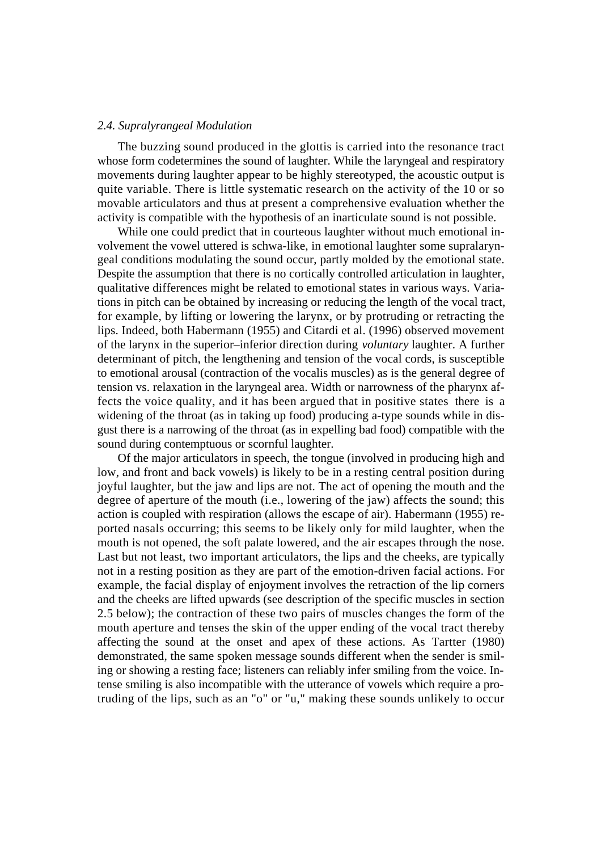#### *2.4. Supralyrangeal Modulation*

The buzzing sound produced in the glottis is carried into the resonance tract whose form codetermines the sound of laughter. While the laryngeal and respiratory movements during laughter appear to be highly stereotyped, the acoustic output is quite variable. There is little systematic research on the activity of the 10 or so movable articulators and thus at present a comprehensive evaluation whether the activity is compatible with the hypothesis of an inarticulate sound is not possible.

While one could predict that in courteous laughter without much emotional involvement the vowel uttered is schwa-like, in emotional laughter some supralaryngeal conditions modulating the sound occur, partly molded by the emotional state. Despite the assumption that there is no cortically controlled articulation in laughter, qualitative differences might be related to emotional states in various ways. Variations in pitch can be obtained by increasing or reducing the length of the vocal tract, for example, by lifting or lowering the larynx, or by protruding or retracting the lips. Indeed, both Habermann (1955) and Citardi et al. (1996) observed movement of the larynx in the superior–inferior direction during *voluntary* laughter. A further determinant of pitch, the lengthening and tension of the vocal cords, is susceptible to emotional arousal (contraction of the vocalis muscles) as is the general degree of tension vs. relaxation in the laryngeal area. Width or narrowness of the pharynx affects the voice quality, and it has been argued that in positive states there is a widening of the throat (as in taking up food) producing a-type sounds while in disgust there is a narrowing of the throat (as in expelling bad food) compatible with the sound during contemptuous or scornful laughter.

Of the major articulators in speech, the tongue (involved in producing high and low, and front and back vowels) is likely to be in a resting central position during joyful laughter, but the jaw and lips are not. The act of opening the mouth and the degree of aperture of the mouth (i.e., lowering of the jaw) affects the sound; this action is coupled with respiration (allows the escape of air). Habermann (1955) reported nasals occurring; this seems to be likely only for mild laughter, when the mouth is not opened, the soft palate lowered, and the air escapes through the nose. Last but not least, two important articulators, the lips and the cheeks, are typically not in a resting position as they are part of the emotion-driven facial actions. For example, the facial display of enjoyment involves the retraction of the lip corners and the cheeks are lifted upwards (see description of the specific muscles in section 2.5 below); the contraction of these two pairs of muscles changes the form of the mouth aperture and tenses the skin of the upper ending of the vocal tract thereby affecting the sound at the onset and apex of these actions. As Tartter (1980) demonstrated, the same spoken message sounds different when the sender is smiling or showing a resting face; listeners can reliably infer smiling from the voice. Intense smiling is also incompatible with the utterance of vowels which require a protruding of the lips, such as an "o" or "u," making these sounds unlikely to occur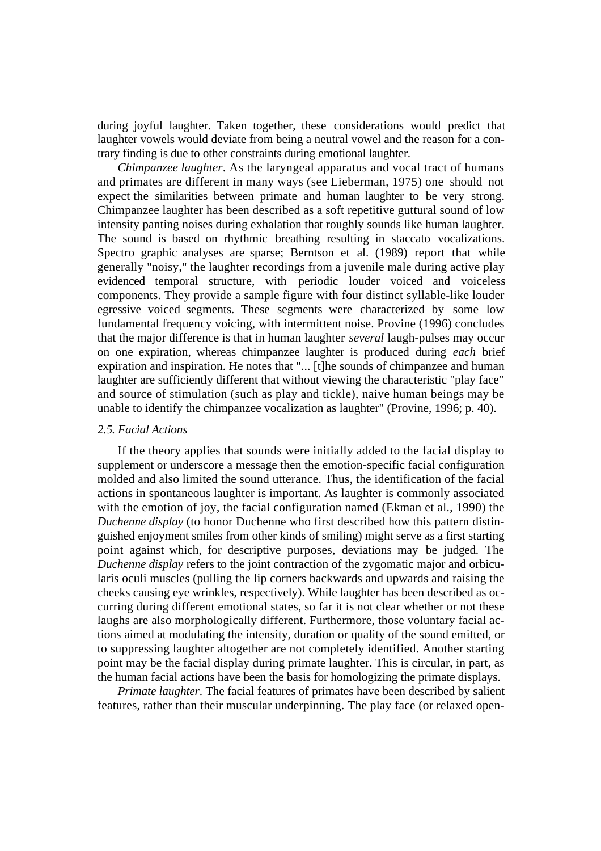during joyful laughter. Taken together, these considerations would predict that laughter vowels would deviate from being a neutral vowel and the reason for a contrary finding is due to other constraints during emotional laughter.

*Chimpanzee laughter*. As the laryngeal apparatus and vocal tract of humans and primates are different in many ways (see Lieberman, 1975) one should not expect the similarities between primate and human laughter to be very strong. Chimpanzee laughter has been described as a soft repetitive guttural sound of low intensity panting noises during exhalation that roughly sounds like human laughter. The sound is based on rhythmic breathing resulting in staccato vocalizations. Spectro graphic analyses are sparse; Berntson et al. (1989) report that while generally "noisy," the laughter recordings from a juvenile male during active play evidenced temporal structure, with periodic louder voiced and voiceless components. They provide a sample figure with four distinct syllable-like louder egressive voiced segments. These segments were characterized by some low fundamental frequency voicing, with intermittent noise. Provine (1996) concludes that the major difference is that in human laughter *several* laugh-pulses may occur on one expiration, whereas chimpanzee laughter is produced during *each* brief expiration and inspiration. He notes that "... [t]he sounds of chimpanzee and human laughter are sufficiently different that without viewing the characteristic "play face" and source of stimulation (such as play and tickle), naive human beings may be unable to identify the chimpanzee vocalization as laughter" (Provine, 1996; p. 40).

### *2.5. Facial Actions*

If the theory applies that sounds were initially added to the facial display to supplement or underscore a message then the emotion-specific facial configuration molded and also limited the sound utterance. Thus, the identification of the facial actions in spontaneous laughter is important. As laughter is commonly associated with the emotion of joy, the facial configuration named (Ekman et al., 1990) the *Duchenne display* (to honor Duchenne who first described how this pattern distinguished enjoyment smiles from other kinds of smiling) might serve as a first starting point against which, for descriptive purposes, deviations may be judged. The *Duchenne display* refers to the joint contraction of the zygomatic major and orbicularis oculi muscles (pulling the lip corners backwards and upwards and raising the cheeks causing eye wrinkles, respectively). While laughter has been described as occurring during different emotional states, so far it is not clear whether or not these laughs are also morphologically different. Furthermore, those voluntary facial actions aimed at modulating the intensity, duration or quality of the sound emitted, or to suppressing laughter altogether are not completely identified. Another starting point may be the facial display during primate laughter. This is circular, in part, as the human facial actions have been the basis for homologizing the primate displays.

*Primate laughter*. The facial features of primates have been described by salient features, rather than their muscular underpinning. The play face (or relaxed open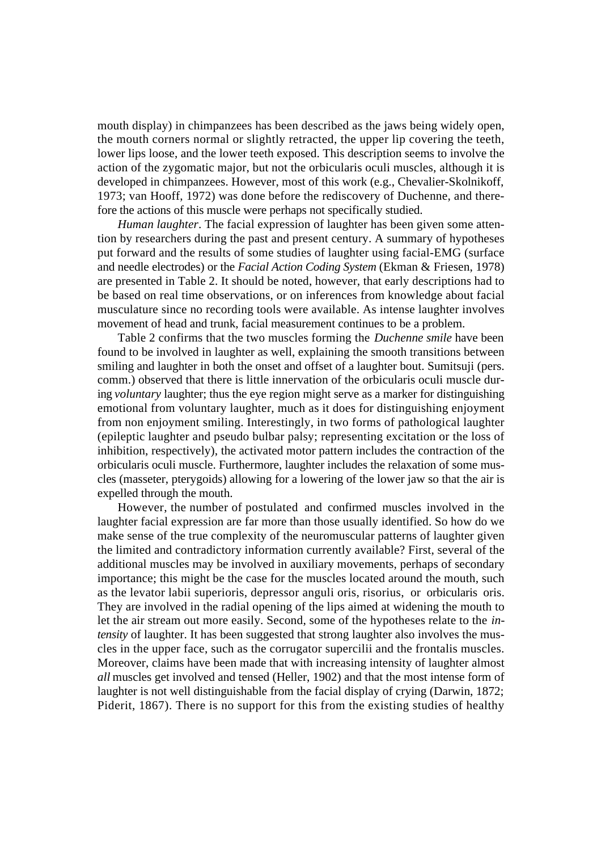mouth display) in chimpanzees has been described as the jaws being widely open, the mouth corners normal or slightly retracted, the upper lip covering the teeth, lower lips loose, and the lower teeth exposed. This description seems to involve the action of the zygomatic major, but not the orbicularis oculi muscles, although it is developed in chimpanzees. However, most of this work (e.g., Chevalier-Skolnikoff, 1973; van Hooff, 1972) was done before the rediscovery of Duchenne, and therefore the actions of this muscle were perhaps not specifically studied.

*Human laughter*. The facial expression of laughter has been given some attention by researchers during the past and present century. A summary of hypotheses put forward and the results of some studies of laughter using facial-EMG (surface and needle electrodes) or the *Facial Action Coding System* (Ekman & Friesen, 1978) are presented in Table 2. It should be noted, however, that early descriptions had to be based on real time observations, or on inferences from knowledge about facial musculature since no recording tools were available. As intense laughter involves movement of head and trunk, facial measurement continues to be a problem.

Table 2 confirms that the two muscles forming the *Duchenne smile* have been found to be involved in laughter as well, explaining the smooth transitions between smiling and laughter in both the onset and offset of a laughter bout. Sumitsuji (pers. comm.) observed that there is little innervation of the orbicularis oculi muscle during *voluntary* laughter; thus the eye region might serve as a marker for distinguishing emotional from voluntary laughter, much as it does for distinguishing enjoyment from non enjoyment smiling. Interestingly, in two forms of pathological laughter (epileptic laughter and pseudo bulbar palsy; representing excitation or the loss of inhibition, respectively), the activated motor pattern includes the contraction of the orbicularis oculi muscle. Furthermore, laughter includes the relaxation of some muscles (masseter, pterygoids) allowing for a lowering of the lower jaw so that the air is expelled through the mouth.

However, the number of postulated and confirmed muscles involved in the laughter facial expression are far more than those usually identified. So how do we make sense of the true complexity of the neuromuscular patterns of laughter given the limited and contradictory information currently available? First, several of the additional muscles may be involved in auxiliary movements, perhaps of secondary importance; this might be the case for the muscles located around the mouth, such as the levator labii superioris, depressor anguli oris, risorius, or orbicularis oris. They are involved in the radial opening of the lips aimed at widening the mouth to let the air stream out more easily. Second, some of the hypotheses relate to the *intensity* of laughter. It has been suggested that strong laughter also involves the muscles in the upper face, such as the corrugator supercilii and the frontalis muscles. Moreover, claims have been made that with increasing intensity of laughter almost *all* muscles get involved and tensed (Heller, 1902) and that the most intense form of laughter is not well distinguishable from the facial display of crying (Darwin, 1872; Piderit, 1867). There is no support for this from the existing studies of healthy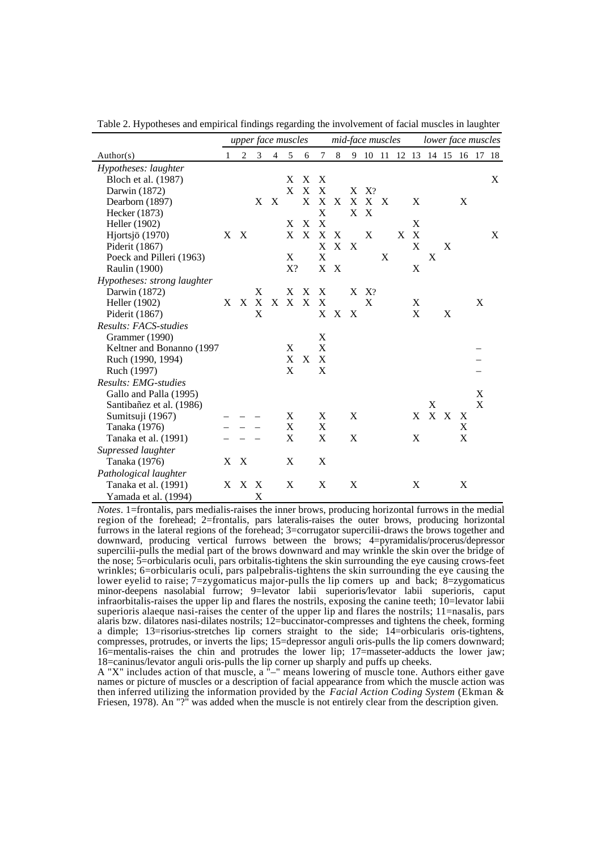|                             | upper face muscles |                |                  |                |                           |   | mid-face muscles |                  |              |              | lower face muscles |   |             |                           |                           |                              |   |   |
|-----------------------------|--------------------|----------------|------------------|----------------|---------------------------|---|------------------|------------------|--------------|--------------|--------------------|---|-------------|---------------------------|---------------------------|------------------------------|---|---|
| Author(s)                   | 1                  | $\overline{2}$ | 3                | $\overline{4}$ | 5                         | 6 | 7                | 8                |              |              |                    |   |             |                           |                           | 9 10 11 12 13 14 15 16 17 18 |   |   |
| Hypotheses: laughter        |                    |                |                  |                |                           |   |                  |                  |              |              |                    |   |             |                           |                           |                              |   |   |
| Bloch et al. (1987)         |                    |                |                  |                | X                         | X | X                |                  |              |              |                    |   |             |                           |                           |                              |   | X |
| Darwin (1872)               |                    |                |                  |                | X                         | X | X                |                  |              | $X \t X?$    |                    |   |             |                           |                           |                              |   |   |
| Dearborn (1897)             |                    |                | X                | X              |                           | X | X                | X                | X            | X            | X                  |   | X           |                           |                           | X                            |   |   |
| Hecker (1873)               |                    |                |                  |                |                           |   | X                |                  | X            | $\mathbf{X}$ |                    |   |             |                           |                           |                              |   |   |
| Heller (1902)               |                    |                |                  |                | X                         | X | X                |                  |              |              |                    |   | X           |                           |                           |                              |   |   |
| Hjortsjö (1970)             |                    | X X            |                  |                | X                         | X | X                | $\boldsymbol{X}$ |              | X            |                    | X | $\mathbf X$ |                           |                           |                              |   | X |
| Piderit (1867)              |                    |                |                  |                |                           |   | X                | X                | X            |              |                    |   | X           |                           | X                         |                              |   |   |
| Poeck and Pilleri (1963)    |                    |                |                  |                | X                         |   | X                |                  |              |              | X                  |   |             | X                         |                           |                              |   |   |
| Raulin (1900)               |                    |                |                  |                | X?                        |   | X                | $\mathbf{X}$     |              |              |                    |   | X           |                           |                           |                              |   |   |
| Hypotheses: strong laughter |                    |                |                  |                |                           |   |                  |                  |              |              |                    |   |             |                           |                           |                              |   |   |
| Darwin (1872)               |                    |                | X                |                | X                         | X | X                |                  |              | $X \ X$ ?    |                    |   |             |                           |                           |                              |   |   |
| Heller (1902)               | X                  | X              | X                | X              | X                         | X | X                |                  |              | X            |                    |   | X           |                           |                           |                              | X |   |
| Piderit (1867)              |                    |                | X                |                |                           |   | X                | $\boldsymbol{X}$ | $\mathbf{X}$ |              |                    |   | X           |                           | X                         |                              |   |   |
| Results: FACS-studies       |                    |                |                  |                |                           |   |                  |                  |              |              |                    |   |             |                           |                           |                              |   |   |
| Grammer (1990)              |                    |                |                  |                |                           |   | X                |                  |              |              |                    |   |             |                           |                           |                              |   |   |
| Keltner and Bonanno (1997   |                    |                |                  |                | X                         |   | X                |                  |              |              |                    |   |             |                           |                           |                              |   |   |
| Ruch (1990, 1994)           |                    |                |                  |                | X                         | X | X                |                  |              |              |                    |   |             |                           |                           |                              |   |   |
| Ruch (1997)                 |                    |                |                  |                | X                         |   | X                |                  |              |              |                    |   |             |                           |                           |                              |   |   |
| Results: EMG-studies        |                    |                |                  |                |                           |   |                  |                  |              |              |                    |   |             |                           |                           |                              |   |   |
| Gallo and Palla (1995)      |                    |                |                  |                |                           |   |                  |                  |              |              |                    |   |             |                           |                           |                              | X |   |
| Santibañez et al. (1986)    |                    |                |                  |                |                           |   |                  |                  |              |              |                    |   |             | X                         |                           |                              | X |   |
| Sumitsuji (1967)            |                    |                |                  |                | X                         |   | X                |                  | X            |              |                    |   | X           | $\boldsymbol{\mathrm{X}}$ | $\boldsymbol{\mathrm{X}}$ | X                            |   |   |
| Tanaka (1976)               |                    |                |                  |                | X                         |   | X                |                  |              |              |                    |   |             |                           |                           | X                            |   |   |
| Tanaka et al. (1991)        |                    |                |                  |                | $\boldsymbol{\mathrm{X}}$ |   | $\mathbf X$      |                  | $\mathbf X$  |              |                    |   | X           |                           |                           | $\mathbf X$                  |   |   |
| Supressed laughter          |                    |                |                  |                |                           |   |                  |                  |              |              |                    |   |             |                           |                           |                              |   |   |
| Tanaka (1976)               | X                  | $\mathbf{X}$   |                  |                | X                         |   | X                |                  |              |              |                    |   |             |                           |                           |                              |   |   |
| Pathological laughter       |                    |                |                  |                |                           |   |                  |                  |              |              |                    |   |             |                           |                           |                              |   |   |
| Tanaka et al. (1991)        | X                  | X              | $\boldsymbol{X}$ |                | X                         |   | X                |                  | X            |              |                    |   | X           |                           |                           | X                            |   |   |
| Yamada et al. (1994)        |                    |                | X                |                |                           |   |                  |                  |              |              |                    |   |             |                           |                           |                              |   |   |

Table 2. Hypotheses and empirical findings regarding the involvement of facial muscles in laughter

*Notes*. 1=frontalis, pars medialis-raises the inner brows, producing horizontal furrows in the medial region of the forehead; 2=frontalis, pars lateralis-raises the outer brows, producing horizontal furrows in the lateral regions of the forehead; 3=corrugator supercilii-draws the brows together and downward, producing vertical furrows between the brows; 4=pyramidalis/procerus/depressor supercilii-pulls the medial part of the brows downward and may wrinkle the skin over the bridge of the nose; 5=orbicularis oculi, pars orbitalis-tightens the skin surrounding the eye causing crows-feet wrinkles; 6=orbicularis oculi, pars palpebralis-tightens the skin surrounding the eye causing the lower eyelid to raise; 7=zygomaticus major-pulls the lip comers up and back; 8=zygomaticus minor-deepens nasolabial furrow; 9=levator labii superioris*/*levator labii superioris, caput infraorbitalis-raises the upper lip and flares the nostrils, exposing the canine teeth; 10=levator labii superioris alaeque nasi-raises the center of the upper lip and flares the nostrils; 11=nasalis, pars alaris bzw. dilatores nasi-dilates nostrils; 12=buccinator-compresses and tightens the cheek, forming a dimple; 13=risorius-stretches lip corners straight to the side; 14=orbicularis oris-tightens, compresses, protrudes, or inverts the lips; 15=depressor anguli oris-pulls the lip comers downward; 16=mentalis-raises the chin and protrudes the lower lip; 17=masseter-adducts the lower jaw; 18=caninus/levator anguli oris-pulls the lip corner up sharply and puffs up cheeks.

A "X" includes action of that muscle, a "–" means lowering of muscle tone. Authors either gave names or picture of muscles or a description of facial appearance from which the muscle action was then inferred utilizing the information provided by the *Facial Action Coding System* (Ekman & Friesen, 1978). An "?" was added when the muscle is not entirely clear from the description given.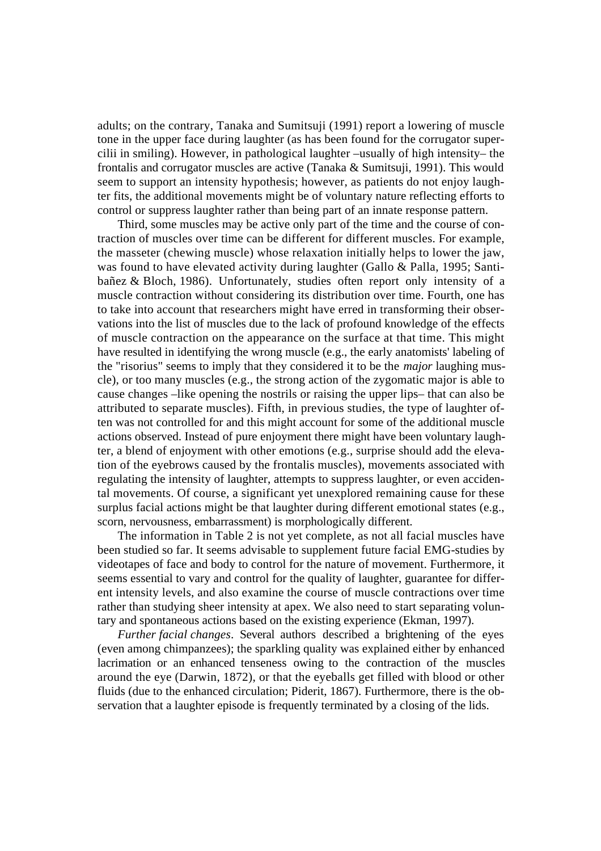adults; on the contrary, Tanaka and Sumitsuji (1991) report a lowering of muscle tone in the upper face during laughter (as has been found for the corrugator supercilii in smiling). However, in pathological laughter –usually of high intensity– the frontalis and corrugator muscles are active (Tanaka & Sumitsuji, 1991). This would seem to support an intensity hypothesis; however, as patients do not enjoy laughter fits, the additional movements might be of voluntary nature reflecting efforts to control or suppress laughter rather than being part of an innate response pattern.

Third, some muscles may be active only part of the time and the course of contraction of muscles over time can be different for different muscles. For example, the masseter (chewing muscle) whose relaxation initially helps to lower the jaw, was found to have elevated activity during laughter (Gallo & Palla, 1995; Santibañez & Bloch, 1986). Unfortunately, studies often report only intensity of a muscle contraction without considering its distribution over time. Fourth, one has to take into account that researchers might have erred in transforming their observations into the list of muscles due to the lack of profound knowledge of the effects of muscle contraction on the appearance on the surface at that time. This might have resulted in identifying the wrong muscle (e.g., the early anatomists' labeling of the "risorius" seems to imply that they considered it to be the *major* laughing muscle), or too many muscles (e.g., the strong action of the zygomatic major is able to cause changes –like opening the nostrils or raising the upper lips– that can also be attributed to separate muscles). Fifth, in previous studies, the type of laughter often was not controlled for and this might account for some of the additional muscle actions observed. Instead of pure enjoyment there might have been voluntary laughter, a blend of enjoyment with other emotions (e.g., surprise should add the elevation of the eyebrows caused by the frontalis muscles), movements associated with regulating the intensity of laughter, attempts to suppress laughter, or even accidental movements. Of course, a significant yet unexplored remaining cause for these surplus facial actions might be that laughter during different emotional states (e.g., scorn, nervousness, embarrassment) is morphologically different.

The information in Table 2 is not yet complete, as not all facial muscles have been studied so far. It seems advisable to supplement future facial EMG-studies by videotapes of face and body to control for the nature of movement. Furthermore, it seems essential to vary and control for the quality of laughter, guarantee for different intensity levels, and also examine the course of muscle contractions over time rather than studying sheer intensity at apex. We also need to start separating voluntary and spontaneous actions based on the existing experience (Ekman, 1997).

*Further facial changes*. Several authors described a brightening of the eyes (even among chimpanzees); the sparkling quality was explained either by enhanced lacrimation or an enhanced tenseness owing to the contraction of the muscles around the eye (Darwin, 1872), or that the eyeballs get filled with blood or other fluids (due to the enhanced circulation; Piderit, 1867). Furthermore, there is the observation that a laughter episode is frequently terminated by a closing of the lids.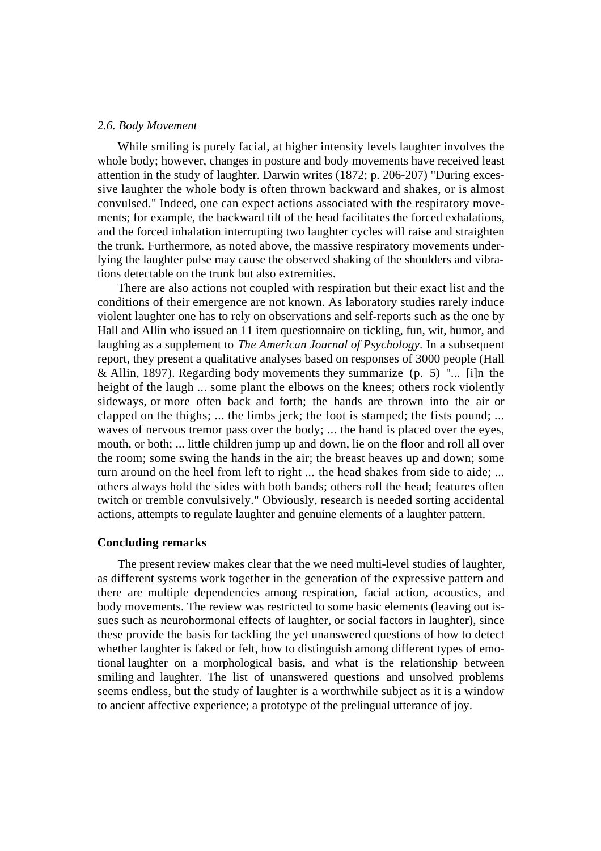#### *2.6. Body Movement*

While smiling is purely facial, at higher intensity levels laughter involves the whole body; however, changes in posture and body movements have received least attention in the study of laughter. Darwin writes (1872; p. 206-207) "During excessive laughter the whole body is often thrown backward and shakes, or is almost convulsed." Indeed, one can expect actions associated with the respiratory movements; for example, the backward tilt of the head facilitates the forced exhalations, and the forced inhalation interrupting two laughter cycles will raise and straighten the trunk. Furthermore, as noted above, the massive respiratory movements underlying the laughter pulse may cause the observed shaking of the shoulders and vibrations detectable on the trunk but also extremities.

There are also actions not coupled with respiration but their exact list and the conditions of their emergence are not known. As laboratory studies rarely induce violent laughter one has to rely on observations and self-reports such as the one by Hall and Allin who issued an 11 item questionnaire on tickling, fun, wit, humor, and laughing as a supplement to *The American Journal of Psychology*. In a subsequent report, they present a qualitative analyses based on responses of 3000 people (Hall & Allin, 1897). Regarding body movements they summarize (p. 5) "... [i]n the height of the laugh ... some plant the elbows on the knees; others rock violently sideways, or more often back and forth; the hands are thrown into the air or clapped on the thighs; ... the limbs jerk; the foot is stamped; the fists pound; ... waves of nervous tremor pass over the body; ... the hand is placed over the eyes, mouth, or both; ... little children jump up and down, lie on the floor and roll all over the room; some swing the hands in the air; the breast heaves up and down; some turn around on the heel from left to right ... the head shakes from side to aide; ... others always hold the sides with both bands; others roll the head; features often twitch or tremble convulsively." Obviously, research is needed sorting accidental actions, attempts to regulate laughter and genuine elements of a laughter pattern.

# **Concluding remarks**

The present review makes clear that the we need multi-level studies of laughter, as different systems work together in the generation of the expressive pattern and there are multiple dependencies among respiration, facial action, acoustics, and body movements. The review was restricted to some basic elements (leaving out issues such as neurohormonal effects of laughter, or social factors in laughter), since these provide the basis for tackling the yet unanswered questions of how to detect whether laughter is faked or felt, how to distinguish among different types of emotional laughter on a morphological basis, and what is the relationship between smiling and laughter. The list of unanswered questions and unsolved problems seems endless, but the study of laughter is a worthwhile subject as it is a window to ancient affective experience; a prototype of the prelingual utterance of joy.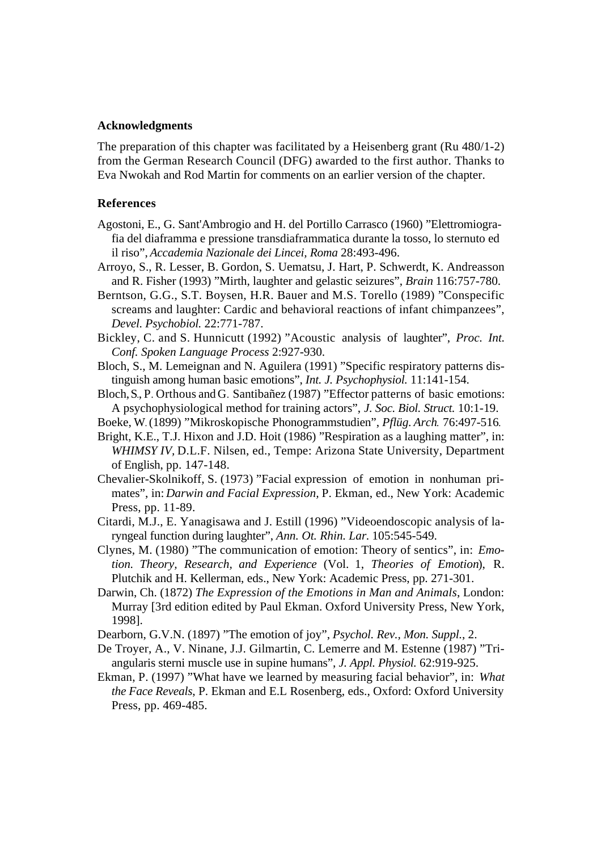# **Acknowledgments**

The preparation of this chapter was facilitated by a Heisenberg grant (Ru 480/1-2) from the German Research Council (DFG) awarded to the first author. Thanks to Eva Nwokah and Rod Martin for comments on an earlier version of the chapter.

## **References**

- Agostoni, E., G. Sant'Ambrogio and H. del Portillo Carrasco (1960) "Elettromiografia del diaframma e pressione transdiaframmatica durante la tosso, lo sternuto ed il riso", *Accademia Nazionale dei Lincei, Roma* 28:493-496.
- Arroyo, S., R. Lesser, B. Gordon, S. Uematsu, J. Hart, P. Schwerdt, K. Andreasson and R. Fisher (1993) "Mirth, laughter and gelastic seizures", *Brain* 116:757-780.
- Berntson, G.G., S.T. Boysen, H.R. Bauer and M.S. Torello (1989) "Conspecific screams and laughter: Cardic and behavioral reactions of infant chimpanzees", *Devel. Psychobiol.* 22:771-787.
- Bickley, C. and S. Hunnicutt (1992) "Acoustic analysis of laughter", *Proc. Int. Conf. Spoken Language Process* 2:927-930.
- Bloch, S., M. Lemeignan and N. Aguilera (1991) "Specific respiratory patterns distinguish among human basic emotions", *Int. J. Psychophysiol.* 11:141-154.
- Bloch,S., P. Orthous andG. Santibañez (1987) "Effector patterns of basic emotions: A psychophysiological method for training actors", *J. Soc. Biol. Struct.* 10:1-19.
- Boeke, W. (1899) "Mikroskopische Phonogrammstudien", *Pflüg. Arch.* 76:497-516.
- Bright, K.E., T.J. Hixon and J.D. Hoit (1986) "Respiration as a laughing matter", in: *WHIMSY IV,* D.L.F. Nilsen, ed., Tempe: Arizona State University, Department of English, pp. 147-148.
- Chevalier-Skolnikoff, S. (1973) "Facial expression of emotion in nonhuman primates", in: *Darwin and Facial Expression,* P. Ekman, ed., New York: Academic Press, pp. 11-89.
- Citardi, M.J., E. Yanagisawa and J. Estill (1996) "Videoendoscopic analysis of laryngeal function during laughter", *Ann. Ot. Rhin. Lar.* 105:545-549.
- Clynes, M. (1980) "The communication of emotion: Theory of sentics", in: *Emotion. Theory, Research, and Experience* (Vol. 1, *Theories of Emotion*), R. Plutchik and H. Kellerman, eds., New York: Academic Press, pp. 271-301.
- Darwin, Ch. (1872) *The Expression of the Emotions in Man and Animals*, London: Murray [3rd edition edited by Paul Ekman. Oxford University Press, New York, 1998].
- Dearborn, G.V.N. (1897) "The emotion of joy", *Psychol. Rev., Mon. Suppl.*, 2.
- De Troyer, A., V. Ninane, J.J. Gilmartin, C. Lemerre and M. Estenne (1987) "Triangularis sterni muscle use in supine humans", *J. Appl. Physiol.* 62:919-925.
- Ekman, P. (1997) "What have we learned by measuring facial behavior", in: *What the Face Reveals*, P. Ekman and E.L Rosenberg, eds., Oxford: Oxford University Press, pp. 469-485.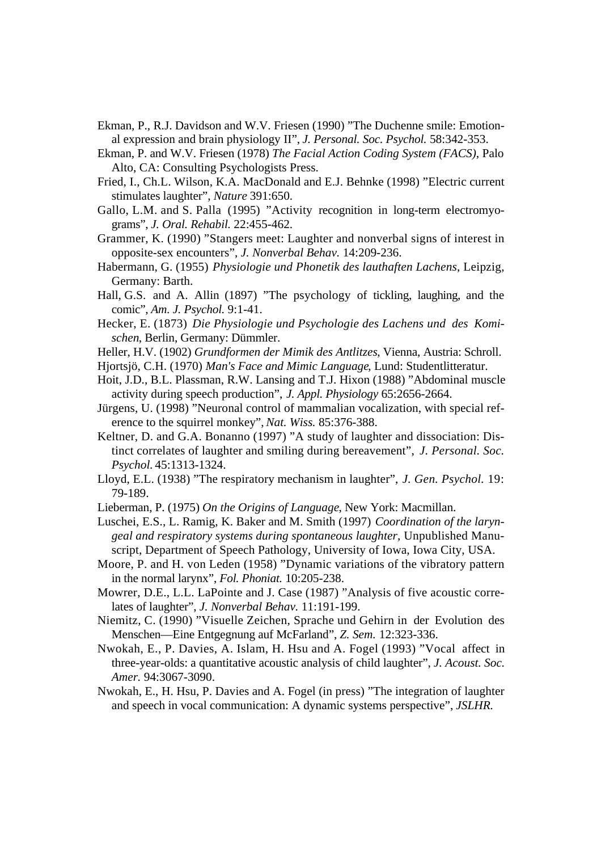- Ekman, P., R.J. Davidson and W.V. Friesen (1990) "The Duchenne smile: Emotional expression and brain physiology II", *J. Personal. Soc. Psychol.* 58:342-353.
- Ekman, P. and W.V. Friesen (1978) *The Facial Action Coding System (FACS)*, Palo Alto, CA: Consulting Psychologists Press.
- Fried, I., Ch.L. Wilson, K.A. MacDonald and E.J. Behnke (1998) "Electric current stimulates laughter", *Nature* 391:650.
- Gallo, L.M. and S. Palla (1995) "Activity recognition in long-term electromyograms", *J. Oral. Rehabil.* 22:455-462.
- Grammer, K. (1990) "Stangers meet: Laughter and nonverbal signs of interest in opposite-sex encounters", *J. Nonverbal Behav.* 14:209-236.
- Habermann, G. (1955) *Physiologie und Phonetik des lauthaften Lachens*, Leipzig, Germany: Barth.
- Hall, G.S. and A. Allin (1897) "The psychology of tickling, laughing, and the comic", *Am. J. Psychol.* 9:1-41.
- Hecker, E. (1873) *Die Physiologie und Psychologie des Lachens und des Komischen*, Berlin, Germany: Dümmler.
- Heller, H.V. (1902) *Grundformen der Mimik des Antlitzes*, Vienna, Austria: Schroll.

Hjortsjö, C.H. (1970) *Man's Face and Mimic Language*, Lund: Studentlitteratur.

- Hoit, J.D., B.L. Plassman, R.W. Lansing and T.J. Hixon (1988) "Abdominal muscle activity during speech production", *J. Appl. Physiology* 65:2656-2664.
- Jürgens, U. (1998) "Neuronal control of mammalian vocalization, with special reference to the squirrel monkey", *Nat. Wiss.* 85:376-388.
- Keltner, D. and G.A. Bonanno (1997) "A study of laughter and dissociation: Distinct correlates of laughter and smiling during bereavement", *J. Personal. Soc. Psychol.* 45:1313-1324.
- Lloyd, E.L. (1938) "The respiratory mechanism in laughter", *J. Gen. Psychol.* 19: 79-189.
- Lieberman, P. (1975) *On the Origins of Language*, New York: Macmillan.
- Luschei, E.S., L. Ramig, K. Baker and M. Smith (1997) *Coordination of the laryngeal and respiratory systems during spontaneous laughter*, Unpublished Manuscript, Department of Speech Pathology, University of Iowa, Iowa City, USA.
- Moore, P. and H. von Leden (1958) "Dynamic variations of the vibratory pattern in the normal larynx", *Fol. Phoniat.* 10:205-238.
- Mowrer, D.E., L.L. LaPointe and J. Case (1987) "Analysis of five acoustic correlates of laughter", *J. Nonverbal Behav.* 11:191-199.
- Niemitz, C. (1990) "Visuelle Zeichen, Sprache und Gehirn in der Evolution des Menschen—Eine Entgegnung auf McFarland", *Z. Sem.* 12:323-336.
- Nwokah, E., P. Davies, A. Islam, H. Hsu and A. Fogel (1993) "Vocal affect in three-year-olds: a quantitative acoustic analysis of child laughter", *J. Acoust. Soc. Amer.* 94:3067-3090.
- Nwokah, E., H. Hsu, P. Davies and A. Fogel (in press) "The integration of laughter and speech in vocal communication: A dynamic systems perspective", *JSLHR.*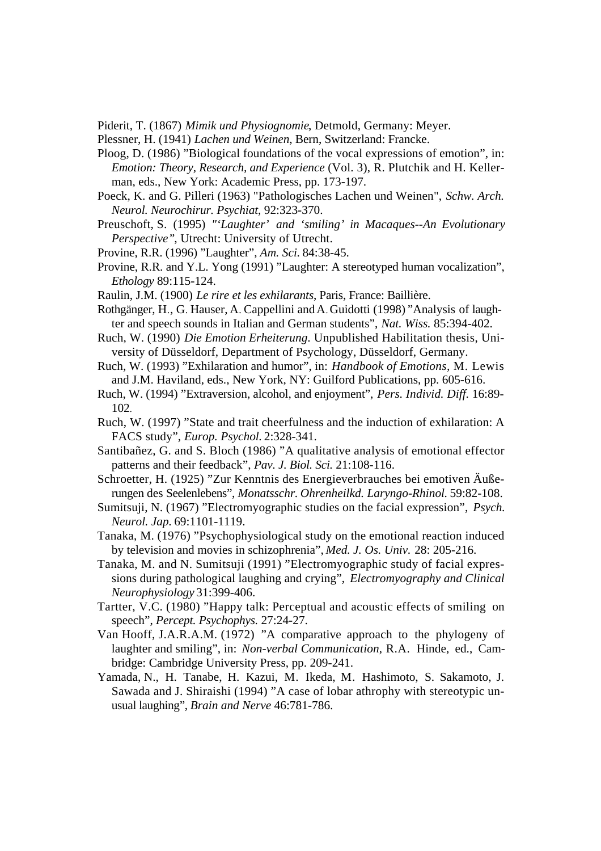Piderit, T. (1867) *Mimik und Physiognomie*, Detmold, Germany: Meyer.

Plessner, H. (1941) *Lachen und Weinen*, Bern, Switzerland: Francke.

Ploog, D. (1986) "Biological foundations of the vocal expressions of emotion", in: *Emotion: Theory, Research, and Experience* (Vol. 3), R. Plutchik and H. Kellerman, eds., New York: Academic Press, pp. 173-197.

- Poeck, K. and G. Pilleri (1963) "Pathologisches Lachen und Weinen", *Schw. Arch. Neurol. Neurochirur. Psychiat*, 92:323-370.
- Preuschoft, S. (1995) *"'Laughter' and 'smiling' in Macaques--An Evolutionary Perspective"*, Utrecht: University of Utrecht.
- Provine, R.R. (1996) "Laughter", *Am. Sci.* 84:38-45.
- Provine, R.R. and Y.L. Yong (1991) "Laughter: A stereotyped human vocalization", *Ethology* 89:115-124.

Raulin, J.M. (1900) *Le rire et les exhilarants*, Paris, France: Baillière.

- Rothgänger, H., G. Hauser, A. Cappellini and A. Guidotti (1998) "Analysis of laughter and speech sounds in Italian and German students", *Nat. Wiss.* 85:394-402.
- Ruch, W. (1990) *Die Emotion Erheiterung*. Unpublished Habilitation thesis, University of Düsseldorf, Department of Psychology, Düsseldorf, Germany.
- Ruch, W. (1993) "Exhilaration and humor", in: *Handbook of Emotions,* M. Lewis and J.M. Haviland, eds., New York, NY: Guilford Publications, pp. 605-616.
- Ruch, W. (1994) "Extraversion, alcohol, and enjoyment", *Pers. Individ. Diff.* 16:89- 102.
- Ruch, W. (1997) "State and trait cheerfulness and the induction of exhilaration: A FACS study", *Europ. Psychol.* 2:328-341.
- Santibañez, G. and S. Bloch (1986) "A qualitative analysis of emotional effector patterns and their feedback", *Pav. J. Biol. Sci.* 21:108-116.
- Schroetter, H. (1925) "Zur Kenntnis des Energieverbrauches bei emotiven Äußerungen des Seelenlebens", *Monatsschr. Ohrenheilkd. Laryngo-Rhinol.* 59:82-108.
- Sumitsuji, N. (1967) "Electromyographic studies on the facial expression", *Psych. Neurol. Jap.* 69:1101-1119.
- Tanaka, M. (1976) "Psychophysiological study on the emotional reaction induced by television and movies in schizophrenia", *Med. J. Os. Univ.* 28: 205-216.
- Tanaka, M. and N. Sumitsuji (1991) "Electromyographic study of facial expressions during pathological laughing and crying", *Electromyography and Clinical Neurophysiology* 31:399-406.
- Tartter, V.C. (1980) "Happy talk: Perceptual and acoustic effects of smiling on speech", *Percept. Psychophys.* 27:24-27.
- Van Hooff, J.A.R.A.M. (1972) "A comparative approach to the phylogeny of laughter and smiling", in: *Non-verbal Communication*, R.A. Hinde, ed., Cambridge: Cambridge University Press, pp. 209-241.
- Yamada, N., H. Tanabe, H. Kazui, M. Ikeda, M. Hashimoto, S. Sakamoto, J. Sawada and J. Shiraishi (1994) "A case of lobar athrophy with stereotypic unusual laughing", *Brain and Nerve* 46:781-786.